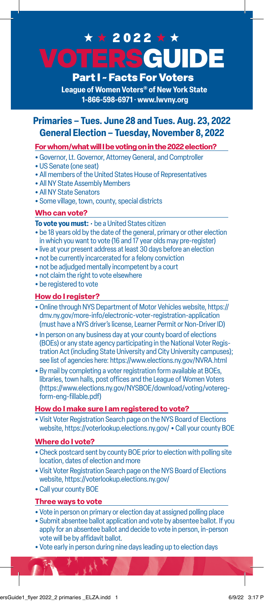# **AUIDE** Part I ~ Facts For Voters ★ ★ 2022 ★ ★

**League of Women Voters® of New York State 1-866-598-6971 • www.lwvny.org**

### **Primaries – Tues. June 28 and Tues. Aug. 23, 2022 General Election – Tuesday, November 8, 2022**

#### **For whom/what will I be voting on in the 2022 election?**

- Governor, Lt. Governor, Attorney General, and Comptroller
- US Senate (one seat)
- All members of the United States House of Representatives
- All NY State Assembly Members
- All NY State Senators
- Some village, town, county, special districts

#### **Who can vote?**

**To vote you must:** • be a United States citizen

- be 18 years old by the date of the general, primary or other election in which you want to vote (16 and 17 year olds may pre-register)
- live at your present address at least 30 days before an election
- not be currently incarcerated for a felony conviction
- not be adjudged mentally incompetent by a court
- not claim the right to vote elsewhere
- be registered to vote

#### **How do I register?**

- Online through NYS Department of Motor Vehicles website, https:// dmv.ny.gov/more-info/electronic-voter-registration-application (must have a NYS driver's license, Learner Permit or Non-Driver ID)
- In person on any business day at your county board of elections (BOEs) or any state agency participating in the National Voter Registration Act (including State University and City University campuses); see list of agencies here: https://www.elections.ny.gov/NVRA.html
- By mail by completing a voter registration form available at BOEs, libraries, town halls, post offices and the League of Women Voters (https://www.elections.ny.gov/NYSBOE/download/voting/voteregform-eng-fillable.pdf)

#### **How do I make sure I am registered to vote?**

• Visit Voter Registration Search page on the NYS Board of Elections website, https://voterlookup.elections.ny.gov/ • Call your county BOE

#### **Where do I vote?**

- Check postcard sent by county BOE prior to election with polling site location, dates of election and more
- Visit Voter Registration Search page on the NYS Board of Elections website, https://voterlookup.elections.ny.gov/
- Call your county BOE

#### **Three ways to vote**

- Vote in person on primary or election day at assigned polling place
- Submit absentee ballot application and vote by absentee ballot. If you apply for an absentee ballot and decide to vote in person, in-person vote will be by affidavit ballot.
- Vote early in person during nine days leading up to election days